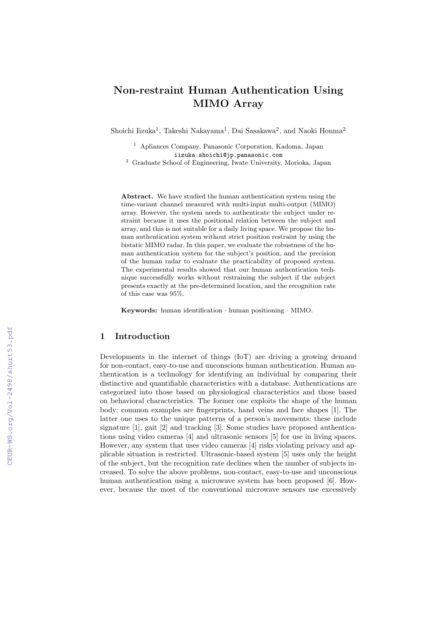# **Non-restraint Human Authentication Using MIMO Array**

Shoichi Iizuka<sup>1</sup>, Takeshi Nakayama<sup>1</sup>, Dai Sasakawa<sup>2</sup>, and Naoki Honma<sup>2</sup>

<sup>1</sup> Apliances Company, Panasonic Corporation, Kadoma, Japan iizuka.shoichi@jp.panasonic.com

<sup>2</sup> Graduate School of Engineering, Iwate University, Morioka, Japan

**Abstract.** We have studied the human authentication system using the time-variant channel measured with multi-input multi-output (MIMO) array. However, the system needs to authenticate the subject under restraint because it uses the positional relation between the subject and array, and this is not suitable for a daily living space. We propose the human authentication system without strict position restraint by using the bistatic MIMO radar. In this paper, we evaluate the robustness of the human authentication system for the subject's position, and the precision of the human radar to evaluate the practicability of proposed system. The experimental results showed that our human authentication technique successfully works without restraining the subject if the subject presents exactly at the pre-determined location, and the recognition rate of this case was 95%.

**Keywords:** human identification *·* human positioning *·* MIMO.

#### **1 Introduction**

Developments in the internet of things (IoT) are driving a growing demand for non-contact, easy-to-use and unconscious human authentication. Human authentication is a technology for identifying an individual by comparing their distinctive and quantifiable characteristics with a database. Authentications are categorized into those based on physiological characteristics and those based on behavioral characteristics. The former one exploits the shape of the human body: common examples are fingerprints, hand veins and face shapes [1]. The latter one uses to the unique patterns of a person's movements: these include signature [1], gait [2] and tracking [3]. Some studies have proposed authentications using video cameras [4] and ultrasonic sensors [5] for use in living spaces. However, any system that uses video cameras [4] risks violating privacy and applicable situation is restricted. Ultrasonic-based system [5] uses only the height of the subject, but the recognition rate declines when the number of subjects increased. To solve the above problems, non-contact, easy-to-use and unconscious human authentication using a microwave system has been proposed [6]. However, because the most of the conventional microwave sensors use excessively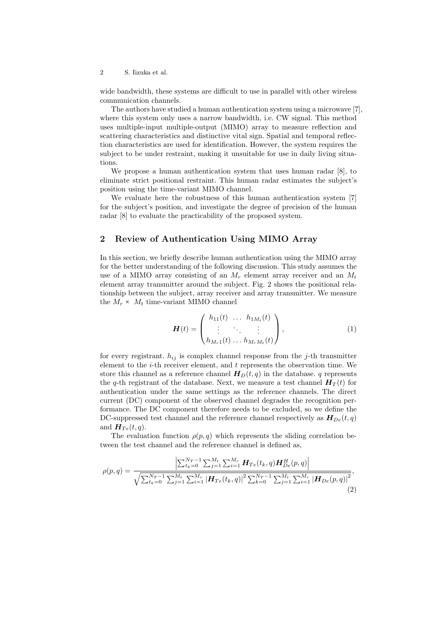2 S. Iizuka et al.

wide bandwidth, these systems are difficult to use in parallel with other wireless communication channels.

The authors have studied a human authentication system using a microwave [7], where this system only uses a narrow bandwidth, i.e. CW signal. This method uses multiple-input multiple-output (MIMO) array to measure reflection and scattering characteristics and distinctive vital sign. Spatial and temporal reflection characteristics are used for identification. However, the system requires the subject to be under restraint, making it unsuitable for use in daily living situations.

We propose a human authentication system that uses human radar [8], to eliminate strict positional restraint. This human radar estimates the subject's position using the time-variant MIMO channel.

We evaluate here the robustness of this human authentication system [7] for the subject's position, and investigate the degree of precision of the human radar [8] to evaluate the practicability of the proposed system.

### **2 Review of Authentication Using MIMO Array**

In this section, we briefly describe human authentication using the MIMO array for the better understanding of the following discussion. This study assumes the use of a MIMO array consisting of an  $M_r$  element array receiver and an  $M_t$ element array transmitter around the subject. Fig. 2 shows the positional relationship between the subject, array receiver and array transmitter. We measure the  $M_r \times M_t$  time-variant MIMO channel

$$
\boldsymbol{H}(t) = \begin{pmatrix} h_{11}(t) & \dots & h_{1M_t}(t) \\ \vdots & \ddots & \vdots \\ h_{M_r1}(t) & \dots & h_{M_rM_t}(t) \end{pmatrix},
$$
(1)

for every registrant.  $h_{ij}$  is complex channel response from the *j*-th transmitter element to the *i*-th receiver element, and *t* represents the observation time. We store this channel as a reference channel  $H_D(t,q)$  in the database. *q* represents the *q*-th registrant of the database. Next, we measure a test channel  $H_T(t)$  for authentication under the same settings as the reference channels. The direct current (DC) component of the observed channel degrades the recognition performance. The DC component therefore needs to be excluded, so we define the DC-suppressed test channel and the reference channel respectively as  $H_{De}(t, q)$ and  $H_{Te}(t,q)$ .

The evaluation function  $\rho(p,q)$  which represents the sliding correlation between the test channel and the reference channel is defined as,

$$
\rho(p,q) = \frac{\left| \sum_{t_k=0}^{N_T-1} \sum_{j=1}^{M_t} \sum_{i=1}^{M_T} \mathbf{H}_{Te}(t_k, q) \mathbf{H}_{De}^H(p, q) \right|}{\sqrt{\sum_{t_k=0}^{N_T-1} \sum_{j=1}^{M_t} \sum_{i=1}^{M_T} |\mathbf{H}_{Te}(t_k, q)|^2 \sum_{k=0}^{N_T-1} \sum_{j=1}^{M_t} \sum_{i=1}^{M_T} |\mathbf{H}_{De}(p, q)|^2}},\tag{2}
$$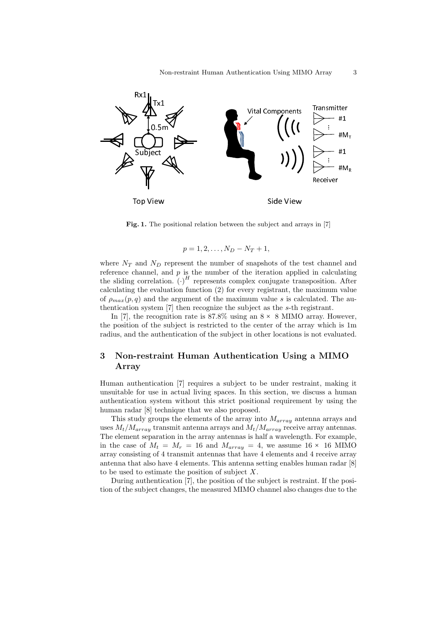

**Fig. 1.** The positional relation between the subject and arrays in [7]

$$
p=1,2,\ldots,N_D-N_T+1,
$$

where  $N_T$  and  $N_D$  represent the number of snapshots of the test channel and reference channel, and *p* is the number of the iteration applied in calculating the sliding correlation.  $(\cdot)^H$  represents complex conjugate transposition. After calculating the evaluation function (2) for every registrant, the maximum value of  $\rho_{max}(p,q)$  and the argument of the maximum value *s* is calculated. The authentication system [7] then recognize the subject as the *s*-th registrant.

In [7], the recognition rate is  $87.8\%$  using an  $8 \times 8$  MIMO array. However, the position of the subject is restricted to the center of the array which is 1m radius, and the authentication of the subject in other locations is not evaluated.

## **3 Non-restraint Human Authentication Using a MIMO Array**

Human authentication [7] requires a subject to be under restraint, making it unsuitable for use in actual living spaces. In this section, we discuss a human authentication system without this strict positional requirement by using the human radar [8] technique that we also proposed.

This study groups the elements of the array into *Marray* antenna arrays and uses  $M_t/M_{array}$  transmit antenna arrays and  $M_t/M_{array}$  receive array antennas. The element separation in the array antennas is half a wavelength. For example, in the case of  $M_t = M_r = 16$  and  $M_{array} = 4$ , we assume 16 × 16 MIMO array consisting of 4 transmit antennas that have 4 elements and 4 receive array antenna that also have 4 elements. This antenna setting enables human radar [8] to be used to estimate the position of subject *X*.

During authentication [7], the position of the subject is restraint. If the position of the subject changes, the measured MIMO channel also changes due to the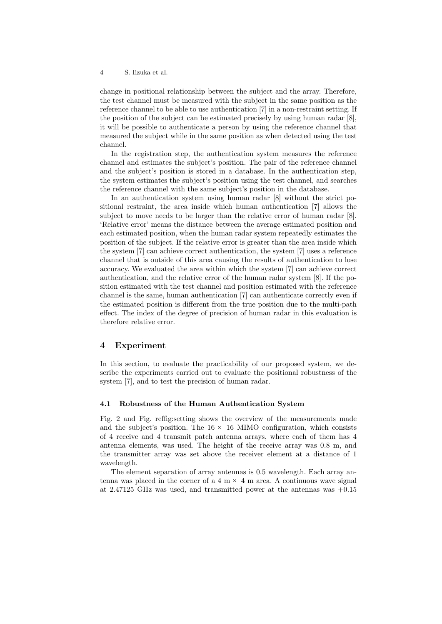#### 4 S. Iizuka et al.

change in positional relationship between the subject and the array. Therefore, the test channel must be measured with the subject in the same position as the reference channel to be able to use authentication [7] in a non-restraint setting. If the position of the subject can be estimated precisely by using human radar [8], it will be possible to authenticate a person by using the reference channel that measured the subject while in the same position as when detected using the test channel.

In the registration step, the authentication system measures the reference channel and estimates the subject's position. The pair of the reference channel and the subject's position is stored in a database. In the authentication step, the system estimates the subject's position using the test channel, and searches the reference channel with the same subject's position in the database.

In an authentication system using human radar [8] without the strict positional restraint, the area inside which human authentication [7] allows the subject to move needs to be larger than the relative error of human radar [8]. 'Relative error' means the distance between the average estimated position and each estimated position, when the human radar system repeatedly estimates the position of the subject. If the relative error is greater than the area inside which the system [7] can achieve correct authentication, the system [7] uses a reference channel that is outside of this area causing the results of authentication to lose accuracy. We evaluated the area within which the system [7] can achieve correct authentication, and the relative error of the human radar system [8]. If the position estimated with the test channel and position estimated with the reference channel is the same, human authentication [7] can authenticate correctly even if the estimated position is different from the true position due to the multi-path effect. The index of the degree of precision of human radar in this evaluation is therefore relative error.

#### **4 Experiment**

In this section, to evaluate the practicability of our proposed system, we describe the experiments carried out to evaluate the positional robustness of the system [7], and to test the precision of human radar.

#### **4.1 Robustness of the Human Authentication System**

Fig. 2 and Fig. reffig:setting shows the overview of the measurements made and the subject's position. The  $16 \times 16$  MIMO configuration, which consists of 4 receive and 4 transmit patch antenna arrays, where each of them has 4 antenna elements, was used. The height of the receive array was 0.8 m, and the transmitter array was set above the receiver element at a distance of 1 wavelength.

The element separation of array antennas is 0.5 wavelength. Each array antenna was placed in the corner of a  $4 \text{ m} \times 4 \text{ m}$  area. A continuous wave signal at 2.47125 GHz was used, and transmitted power at the antennas was +0.15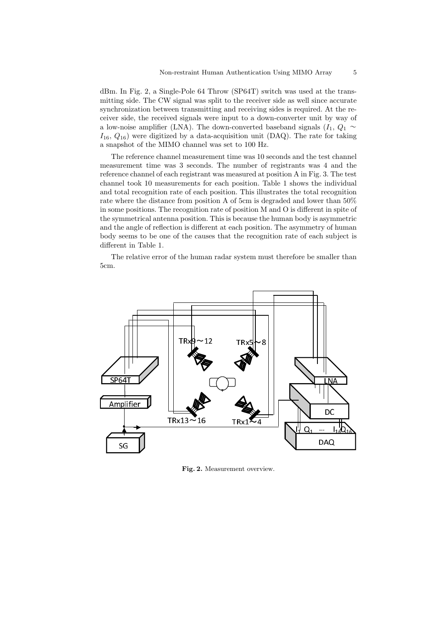dBm. In Fig. 2, a Single-Pole 64 Throw (SP64T) switch was used at the transmitting side. The CW signal was split to the receiver side as well since accurate synchronization between transmitting and receiving sides is required. At the receiver side, the received signals were input to a down-converter unit by way of a low-noise amplifier (LNA). The down-converted baseband signals  $(I_1, Q_1 \sim$ *I*16, *Q*16) were digitized by a data-acquisition unit (DAQ). The rate for taking a snapshot of the MIMO channel was set to 100 Hz.

The reference channel measurement time was 10 seconds and the test channel measurement time was 3 seconds. The number of registrants was 4 and the reference channel of each registrant was measured at position A in Fig. 3. The test channel took 10 measurements for each position. Table 1 shows the individual and total recognition rate of each position. This illustrates the total recognition rate where the distance from position A of 5cm is degraded and lower than 50% in some positions. The recognition rate of position M and O is different in spite of the symmetrical antenna position. This is because the human body is asymmetric and the angle of reflection is different at each position. The asymmetry of human body seems to be one of the causes that the recognition rate of each subject is different in Table 1.

The relative error of the human radar system must therefore be smaller than 5cm.



**Fig. 2.** Measurement overview.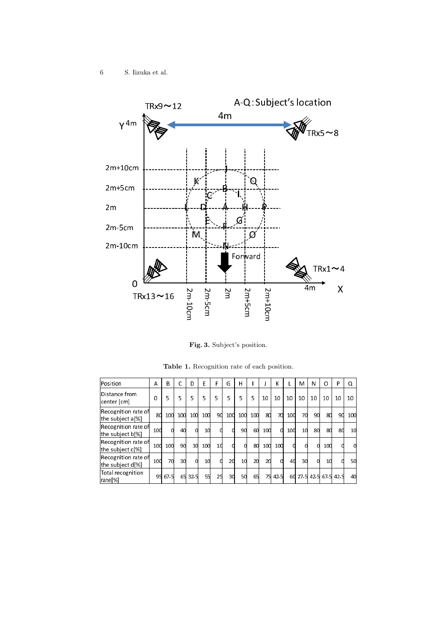

Fig. 3. Subject's position.

| lPosition                               | A   | В    | Ċ   | D        | Е   | F  | G   | $\mathsf{H}$ |     |            | ĸ       |     | M  | N  | O                      | P  | Q   |
|-----------------------------------------|-----|------|-----|----------|-----|----|-----|--------------|-----|------------|---------|-----|----|----|------------------------|----|-----|
| Distance from<br> center [cm]           | 0   | 5    | 5   | 5        | 5   | 5  | 5   | 5            | 5   | 10         | 10      | 10  | 10 | 10 | 10                     | 10 | 10  |
| Recognition rate of<br>the subject a[%] | 80  | 100  | 100 | 100      | 100 | 90 | 100 | 100          | 100 | 80         | 70      | 100 | 7d | 90 | 8d                     | 90 | 100 |
| Recognition rate of<br>the subject b[%] | 100 | C    | 40  | 0        | 10  |    |     | 90           | 60  | <b>100</b> | d       | 100 | 10 | 80 | 8d                     | 8d | 10  |
| Recognition rate of<br>the subject c[%] | 100 | 100  | 9d  | 30       | 100 | 1d |     |              | 80  | 100        | 10d     | 0   |    |    | 10d                    | 0  |     |
| Recognition rate of<br>the subject d[%] | 100 | 70   | 30  | $\Omega$ | 10  |    | 20  | 10           | 20  | 20         | U       | 40  | 30 |    | 10                     | Ω  | 50  |
| Total recognition<br> rate[%]           | 95I | 67 S | 65  | 32.5     | 55  | 25 | зd  | 5d           | 65  |            | 75 42.5 |     |    |    | 60 27 5 42 5 67 5 42 5 |    | 4d  |

Table 1. Recognition rate of each position.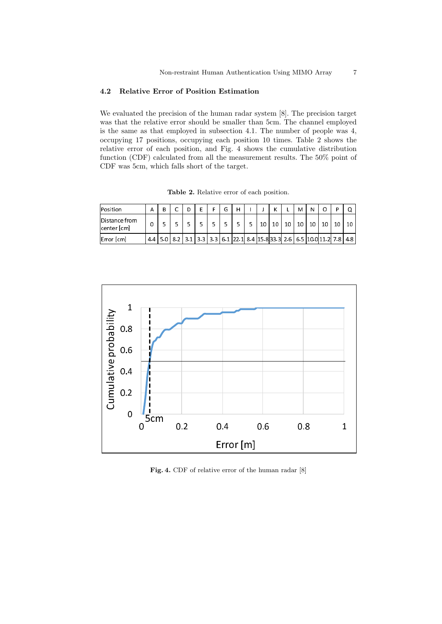#### $\bf 4.2$ Relative Error of Position Estimation

We evaluated the precision of the human radar system [8]. The precision target was that the relative error should be smaller than 5cm. The channel employed is the same as that employed in subsection 4.1. The number of people was 4, occupying 17 positions, occupying each position 10 times. Table 2 shows the relative error of each position, and Fig. 4 shows the cumulative distribution function (CDF) calculated from all the measurement results. The 50% point of CDF was 5cm, which falls short of the target.

Table 2. Relative error of each position.

| Position                             |    | $\overline{\phantom{0}}$ | D |  | G | Н                                                                                                 |    | $\mathbf{v}$ |    | M  | N  |    |    |    |
|--------------------------------------|----|--------------------------|---|--|---|---------------------------------------------------------------------------------------------------|----|--------------|----|----|----|----|----|----|
| <b>IDistance from</b><br>center [cm] |    |                          | с |  |   |                                                                                                   | 10 | $\Omega$     | 10 | 10 | 10 | 10 | 10 | 10 |
| Error [cm]                           | 44 |                          |   |  |   | 5.0   8.2   3.1   3.3   3.3   6.1   22.1   8.4   15.8   3.3   2.6   6.5   10.0   11.2   7.8   4.8 |    |              |    |    |    |    |    |    |



Fig. 4. CDF of relative error of the human radar [8]